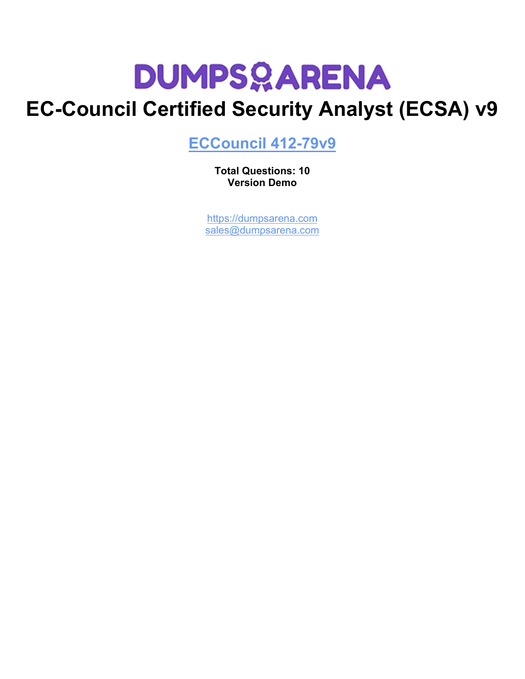## **EC-Council Certified Security Analyst (ECSA) v9**

**[ECCouncil 412-79v9](https://dumpsarena.com/exam/412-79v9/)**

**Total Questions: 10 Version Demo**

[https://dumpsarena.com](https://dumpsarena.com/) [sales@dumpsarena.com](mailto:sales@dumpsarena.com)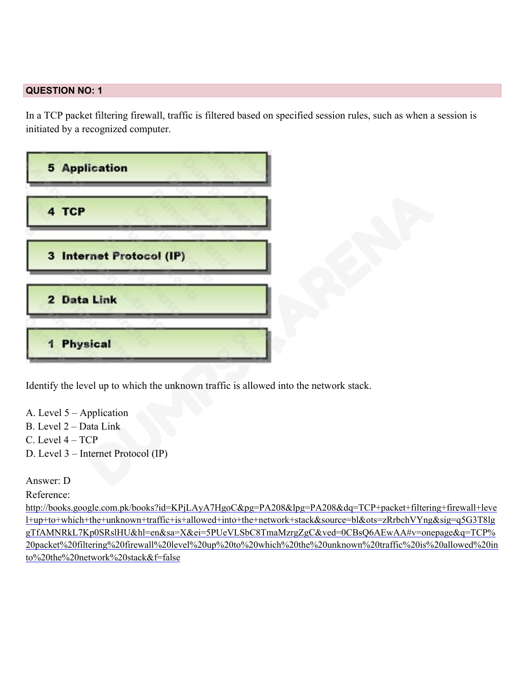### **QUESTION NO: 1**

In a TCP packet filtering firewall, traffic is filtered based on specified session rules, such as when a session is initiated by a recognized computer.

| <b>5 Application</b>     |  |
|--------------------------|--|
| 4 TCP                    |  |
| 3 Internet Protocol (IP) |  |
| 2 Data Link              |  |
| 1 Physical               |  |
|                          |  |

Identify the level up to which the unknown traffic is allowed into the network stack.

- A. Level 5 Application
- B. Level 2 Data Link
- C. Level 4 TCP
- D. Level 3 Internet Protocol (IP)

### Answer: D

### Reference:

[http://books.google.com.pk/books?id=KPjLAyA7HgoC&pg=PA208&lpg=PA208&dq=TCP+packet+filtering+firewall+leve](http://books.google.com.pk/books?id=KPjLAyA7HgoC&pg=PA208&lpg=PA208&dq=TCP+packet+filtering+firewall+level+up+to+which+the+unknown+traffic+is+allowed+into+the+network+stack&source=bl&ots=zRrbchVYng&sig=q5G3T8lggTfAMNRkL7Kp0SRslHU&hl=en&sa=X&ei=5PUeVLSbC8Tm#_blank) [l+up+to+which+the+unknown+traffic+is+allowed+into+the+network+stack&source=bl&ots=zRrbchVYng&sig=q5G3T8lg](http://books.google.com.pk/books?id=KPjLAyA7HgoC&pg=PA208&lpg=PA208&dq=TCP+packet+filtering+firewall+level+up+to+which+the+unknown+traffic+is+allowed+into+the+network+stack&source=bl&ots=zRrbchVYng&sig=q5G3T8lggTfAMNRkL7Kp0SRslHU&hl=en&sa=X&ei=5PUeVLSbC8Tm#_blank) [gTfAMNRkL7Kp0SRslHU&hl=en&sa=X&ei=5PUeVLSbC8TmaMzrgZgC&ved=0CBsQ6AEwAA#v=onepage&q=TCP%](http://books.google.com.pk/books?id=KPjLAyA7HgoC&pg=PA208&lpg=PA208&dq=TCP+packet+filtering+firewall+level+up+to+which+the+unknown+traffic+is+allowed+into+the+network+stack&source=bl&ots=zRrbchVYng&sig=q5G3T8lggTfAMNRkL7Kp0SRslHU&hl=en&sa=X&ei=5PUeVLSbC8Tm#_blank) [20packet%20filtering%20firewall%20level%20up%20to%20which%20the%20unknown%20traffic%20is%20allowed%20in](http://books.google.com.pk/books?id=KPjLAyA7HgoC&pg=PA208&lpg=PA208&dq=TCP+packet+filtering+firewall+level+up+to+which+the+unknown+traffic+is+allowed+into+the+network+stack&source=bl&ots=zRrbchVYng&sig=q5G3T8lggTfAMNRkL7Kp0SRslHU&hl=en&sa=X&ei=5PUeVLSbC8Tm#_blank) [to%20the%20network%20stack&f=false](http://books.google.com.pk/books?id=KPjLAyA7HgoC&pg=PA208&lpg=PA208&dq=TCP+packet+filtering+firewall+level+up+to+which+the+unknown+traffic+is+allowed+into+the+network+stack&source=bl&ots=zRrbchVYng&sig=q5G3T8lggTfAMNRkL7Kp0SRslHU&hl=en&sa=X&ei=5PUeVLSbC8Tm#_blank)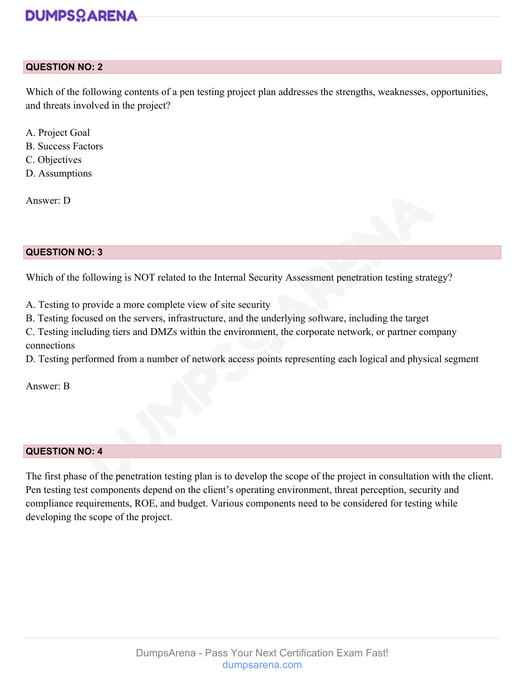### **QUESTION NO: 2**

Which of the following contents of a pen testing project plan addresses the strengths, weaknesses, opportunities, and threats involved in the project?

- A. Project Goal
- B. Success Factors
- C. Objectives
- D. Assumptions

Answer: D

### **QUESTION NO: 3**

Which of the following is NOT related to the Internal Security Assessment penetration testing strategy?

A. Testing to provide a more complete view of site security

B. Testing focused on the servers, infrastructure, and the underlying software, including the target

C. Testing including tiers and DMZs within the environment, the corporate network, or partner company connections

D. Testing performed from a number of network access points representing each logical and physical segment

Answer: B

### **QUESTION NO: 4**

The first phase of the penetration testing plan is to develop the scope of the project in consultation with the client. Pen testing test components depend on the client's operating environment, threat perception, security and compliance requirements, ROE, and budget. Various components need to be considered for testing while developing the scope of the project.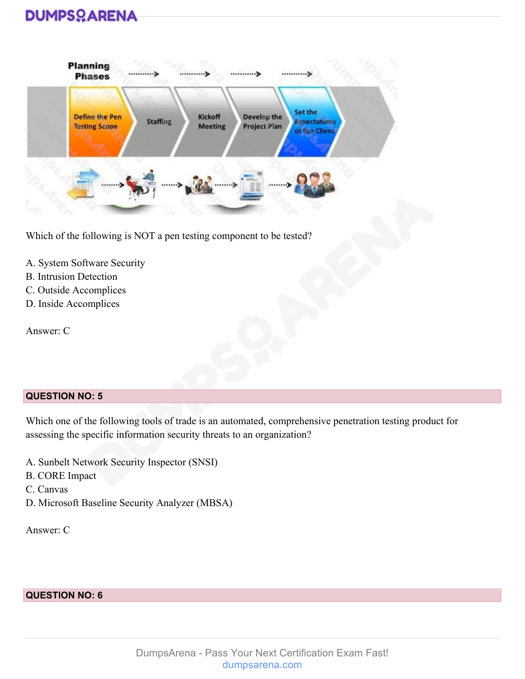| <b>Define the Pen</b> | <b>Staffing</b> | Kickoff        | Develop the         | Set the<br><b>Expectations</b> |
|-----------------------|-----------------|----------------|---------------------|--------------------------------|
| <b>Testing Scope</b>  |                 | <b>Meeting</b> | <b>Project Plan</b> | of the Client                  |

Which of the following is NOT a pen testing component to be tested?

- A. System Software Security
- B. Intrusion Detection
- C. Outside Accomplices
- D. Inside Accomplices

Answer: C

### **QUESTION NO: 5**

Which one of the following tools of trade is an automated, comprehensive penetration testing product for assessing the specific information security threats to an organization?

- A. Sunbelt Network Security Inspector (SNSI)
- B. CORE Impact
- C. Canvas
- D. Microsoft Baseline Security Analyzer (MBSA)

Answer: C

**QUESTION NO: 6**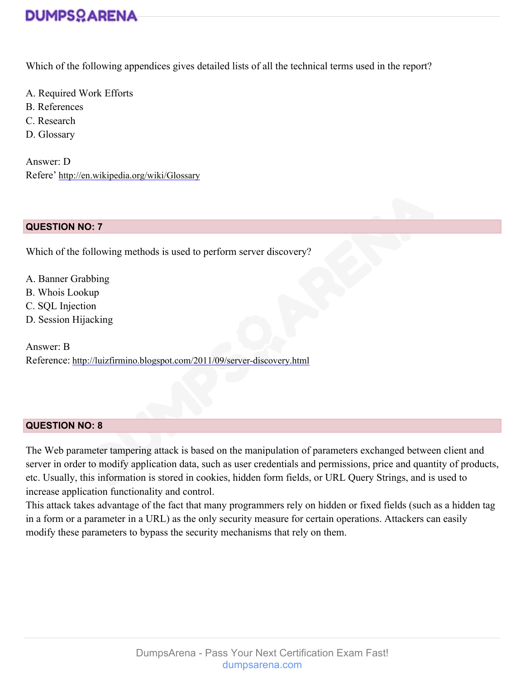Which of the following appendices gives detailed lists of all the technical terms used in the report?

- A. Required Work Efforts
- B. References
- C. Research
- D. Glossary

Answer: D Refere' [http://en.wikipedia.org/wiki/Glossary](http://en.wikipedia.org/wiki/Glossary#_blank)

### **QUESTION NO: 7**

Which of the following methods is used to perform server discovery?

- A. Banner Grabbing
- B. Whois Lookup
- C. SQL Injection
- D. Session Hijacking

Answer: B Reference: [http://luizfirmino.blogspot.com/2011/09/server-discovery.html](http://luizfirmino.blogspot.com/2011/09/server-discovery.html#_blank)

### **QUESTION NO: 8**

The Web parameter tampering attack is based on the manipulation of parameters exchanged between client and server in order to modify application data, such as user credentials and permissions, price and quantity of products, etc. Usually, this information is stored in cookies, hidden form fields, or URL Query Strings, and is used to increase application functionality and control.

This attack takes advantage of the fact that many programmers rely on hidden or fixed fields (such as a hidden tag in a form or a parameter in a URL) as the only security measure for certain operations. Attackers can easily modify these parameters to bypass the security mechanisms that rely on them.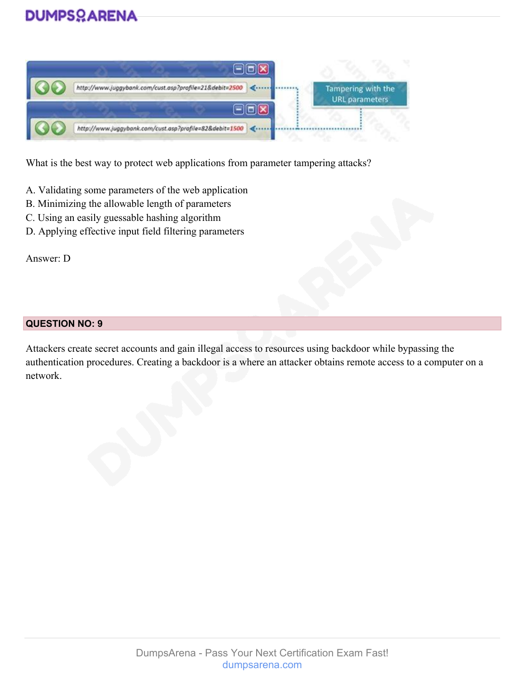

What is the best way to protect web applications from parameter tampering attacks?

- A. Validating some parameters of the web application
- B. Minimizing the allowable length of parameters
- C. Using an easily guessable hashing algorithm
- D. Applying effective input field filtering parameters

Answer: D

### **QUESTION NO: 9**

Attackers create secret accounts and gain illegal access to resources using backdoor while bypassing the authentication procedures. Creating a backdoor is a where an attacker obtains remote access to a computer on a network.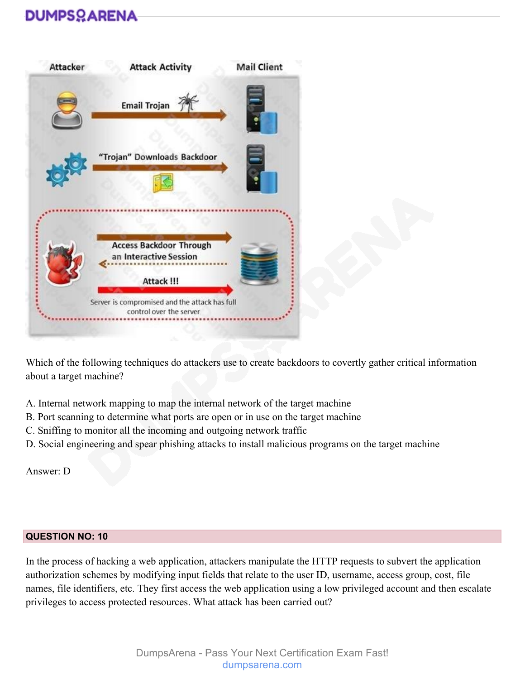

Which of the following techniques do attackers use to create backdoors to covertly gather critical information about a target machine?

- A. Internal network mapping to map the internal network of the target machine
- B. Port scanning to determine what ports are open or in use on the target machine
- C. Sniffing to monitor all the incoming and outgoing network traffic
- D. Social engineering and spear phishing attacks to install malicious programs on the target machine

Answer: D

### **QUESTION NO: 10**

In the process of hacking a web application, attackers manipulate the HTTP requests to subvert the application authorization schemes by modifying input fields that relate to the user ID, username, access group, cost, file names, file identifiers, etc. They first access the web application using a low privileged account and then escalate privileges to access protected resources. What attack has been carried out?